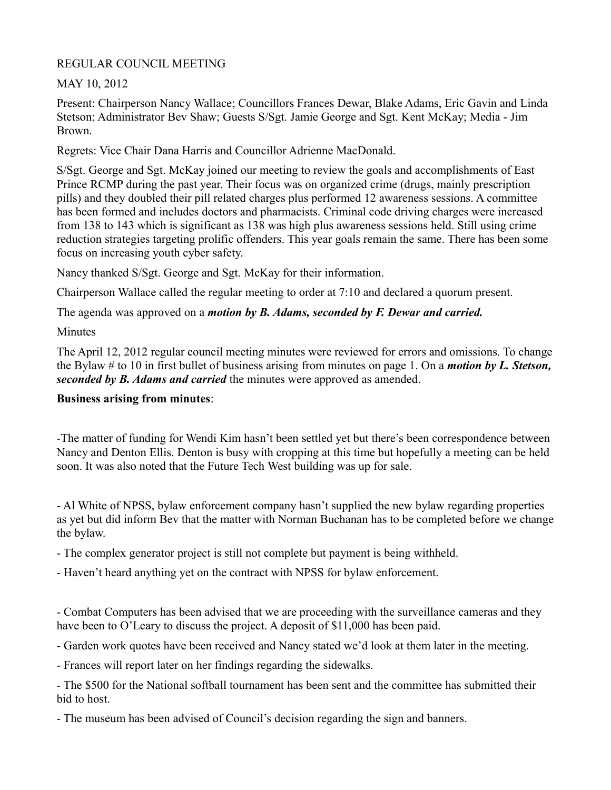REGULAR COUNCIL MEETING

MAY 10, 2012

Present: Chairperson Nancy Wallace; Councillors Frances Dewar, Blake Adams, Eric Gavin and Linda Stetson; Administrator Bev Shaw; Guests S/Sgt. Jamie George and Sgt. Kent McKay; Media - Jim Brown.

Regrets: Vice Chair Dana Harris and Councillor Adrienne MacDonald.

S/Sgt. George and Sgt. McKay joined our meeting to review the goals and accomplishments of East Prince RCMP during the past year. Their focus was on organized crime (drugs, mainly prescription pills) and they doubled their pill related charges plus performed 12 awareness sessions. A committee has been formed and includes doctors and pharmacists. Criminal code driving charges were increased from 138 to 143 which is significant as 138 was high plus awareness sessions held. Still using crime reduction strategies targeting prolific offenders. This year goals remain the same. There has been some focus on increasing youth cyber safety.

Nancy thanked S/Sgt. George and Sgt. McKay for their information.

Chairperson Wallace called the regular meeting to order at 7:10 and declared a quorum present.

The agenda was approved on a *motion by B. Adams, seconded by F. Dewar and carried.*

**Minutes** 

The April 12, 2012 regular council meeting minutes were reviewed for errors and omissions. To change the Bylaw # to 10 in first bullet of business arising from minutes on page 1. On a *motion by L. Stetson, seconded by B. Adams and carried* the minutes were approved as amended.

## **Business arising from minutes**:

-The matter of funding for Wendi Kim hasn't been settled yet but there's been correspondence between Nancy and Denton Ellis. Denton is busy with cropping at this time but hopefully a meeting can be held soon. It was also noted that the Future Tech West building was up for sale.

- Al White of NPSS, bylaw enforcement company hasn't supplied the new bylaw regarding properties as yet but did inform Bev that the matter with Norman Buchanan has to be completed before we change the bylaw.

- The complex generator project is still not complete but payment is being withheld.
- Haven't heard anything yet on the contract with NPSS for bylaw enforcement.

- Combat Computers has been advised that we are proceeding with the surveillance cameras and they have been to O'Leary to discuss the project. A deposit of \$11,000 has been paid.

- Garden work quotes have been received and Nancy stated we'd look at them later in the meeting.

- Frances will report later on her findings regarding the sidewalks.

- The \$500 for the National softball tournament has been sent and the committee has submitted their bid to host.

- The museum has been advised of Council's decision regarding the sign and banners.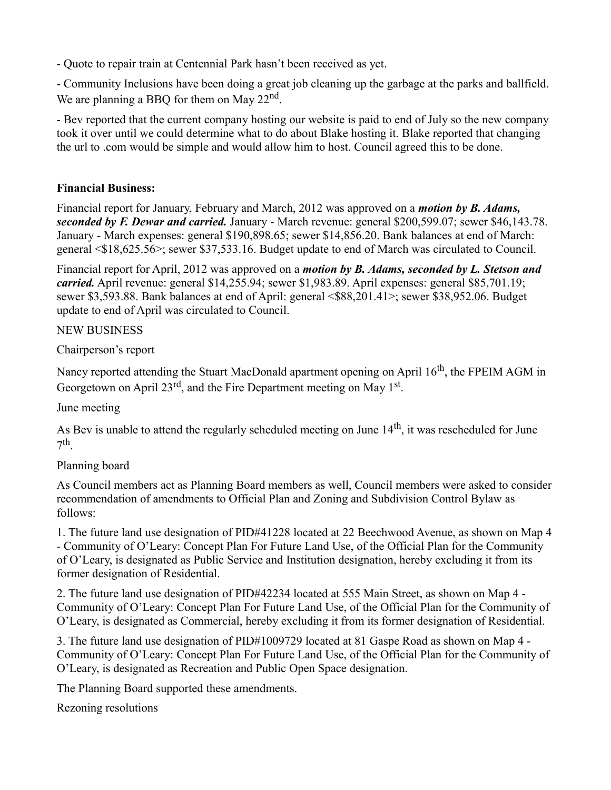- Quote to repair train at Centennial Park hasn't been received as yet.

- Community Inclusions have been doing a great job cleaning up the garbage at the parks and ballfield. We are planning a BBQ for them on May  $22<sup>nd</sup>$ .

- Bev reported that the current company hosting our website is paid to end of July so the new company took it over until we could determine what to do about Blake hosting it. Blake reported that changing the url to .com would be simple and would allow him to host. Council agreed this to be done.

### **Financial Business:**

Financial report for January, February and March, 2012 was approved on a *motion by B. Adams, seconded by F. Dewar and carried.* January - March revenue: general \$200,599.07; sewer \$46,143.78. January - March expenses: general \$190,898.65; sewer \$14,856.20. Bank balances at end of March: general <\$18,625.56>; sewer \$37,533.16. Budget update to end of March was circulated to Council.

Financial report for April, 2012 was approved on a *motion by B. Adams, seconded by L. Stetson and carried.* April revenue: general \$14,255.94; sewer \$1,983.89. April expenses: general \$85,701.19; sewer \$3,593.88. Bank balances at end of April: general <\$88,201.41>; sewer \$38,952.06. Budget update to end of April was circulated to Council.

### NEW BUSINESS

Chairperson's report

Nancy reported attending the Stuart MacDonald apartment opening on April 16<sup>th</sup>, the FPEIM AGM in Georgetown on April 23<sup>rd</sup>, and the Fire Department meeting on May 1<sup>st</sup>.

June meeting

As Bev is unable to attend the regularly scheduled meeting on June  $14<sup>th</sup>$ , it was rescheduled for June  $7<sup>th</sup>$ .

### Planning board

As Council members act as Planning Board members as well, Council members were asked to consider recommendation of amendments to Official Plan and Zoning and Subdivision Control Bylaw as follows:

1. The future land use designation of PID#41228 located at 22 Beechwood Avenue, as shown on Map 4 - Community of O'Leary: Concept Plan For Future Land Use, of the Official Plan for the Community of O'Leary, is designated as Public Service and Institution designation, hereby excluding it from its former designation of Residential.

2. The future land use designation of PID#42234 located at 555 Main Street, as shown on Map 4 - Community of O'Leary: Concept Plan For Future Land Use, of the Official Plan for the Community of O'Leary, is designated as Commercial, hereby excluding it from its former designation of Residential.

3. The future land use designation of PID#1009729 located at 81 Gaspe Road as shown on Map 4 - Community of O'Leary: Concept Plan For Future Land Use, of the Official Plan for the Community of O'Leary, is designated as Recreation and Public Open Space designation.

The Planning Board supported these amendments.

Rezoning resolutions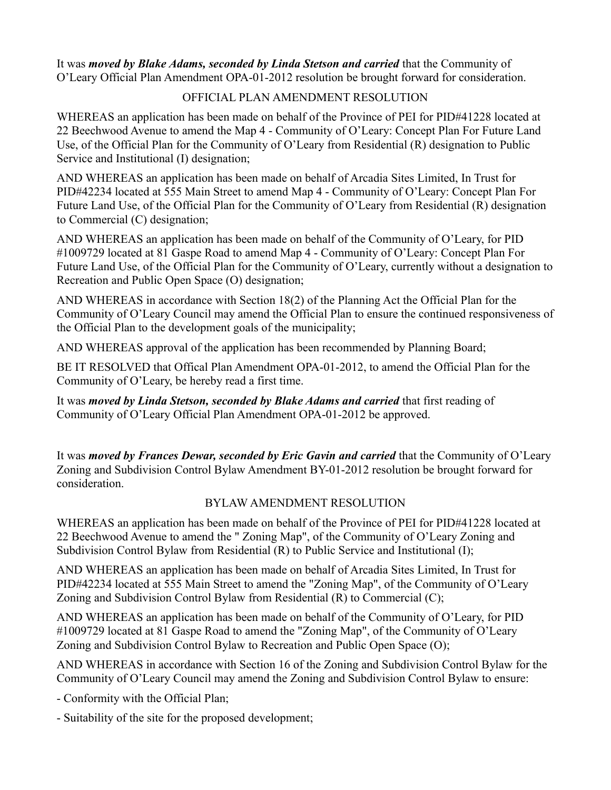It was *moved by Blake Adams, seconded by Linda Stetson and carried* that the Community of O'Leary Official Plan Amendment OPA-01-2012 resolution be brought forward for consideration.

### OFFICIAL PLAN AMENDMENT RESOLUTION

WHEREAS an application has been made on behalf of the Province of PEI for PID#41228 located at 22 Beechwood Avenue to amend the Map 4 - Community of O'Leary: Concept Plan For Future Land Use, of the Official Plan for the Community of O'Leary from Residential (R) designation to Public Service and Institutional (I) designation;

AND WHEREAS an application has been made on behalf of Arcadia Sites Limited, In Trust for PID#42234 located at 555 Main Street to amend Map 4 - Community of O'Leary: Concept Plan For Future Land Use, of the Official Plan for the Community of O'Leary from Residential (R) designation to Commercial (C) designation;

AND WHEREAS an application has been made on behalf of the Community of O'Leary, for PID #1009729 located at 81 Gaspe Road to amend Map 4 - Community of O'Leary: Concept Plan For Future Land Use, of the Official Plan for the Community of O'Leary, currently without a designation to Recreation and Public Open Space (O) designation;

AND WHEREAS in accordance with Section 18(2) of the Planning Act the Official Plan for the Community of O'Leary Council may amend the Official Plan to ensure the continued responsiveness of the Official Plan to the development goals of the municipality;

AND WHEREAS approval of the application has been recommended by Planning Board;

BE IT RESOLVED that Offical Plan Amendment OPA-01-2012, to amend the Official Plan for the Community of O'Leary, be hereby read a first time.

It was *moved by Linda Stetson, seconded by Blake Adams and carried* that first reading of Community of O'Leary Official Plan Amendment OPA-01-2012 be approved.

It was *moved by Frances Dewar, seconded by Eric Gavin and carried* that the Community of O'Leary Zoning and Subdivision Control Bylaw Amendment BY-01-2012 resolution be brought forward for consideration.

### BYLAW AMENDMENT RESOLUTION

WHEREAS an application has been made on behalf of the Province of PEI for PID#41228 located at 22 Beechwood Avenue to amend the " Zoning Map", of the Community of O'Leary Zoning and Subdivision Control Bylaw from Residential (R) to Public Service and Institutional (I);

AND WHEREAS an application has been made on behalf of Arcadia Sites Limited, In Trust for PID#42234 located at 555 Main Street to amend the "Zoning Map", of the Community of O'Leary Zoning and Subdivision Control Bylaw from Residential (R) to Commercial (C);

AND WHEREAS an application has been made on behalf of the Community of O'Leary, for PID #1009729 located at 81 Gaspe Road to amend the "Zoning Map", of the Community of O'Leary Zoning and Subdivision Control Bylaw to Recreation and Public Open Space (O);

AND WHEREAS in accordance with Section 16 of the Zoning and Subdivision Control Bylaw for the Community of O'Leary Council may amend the Zoning and Subdivision Control Bylaw to ensure:

- Conformity with the Official Plan;

- Suitability of the site for the proposed development;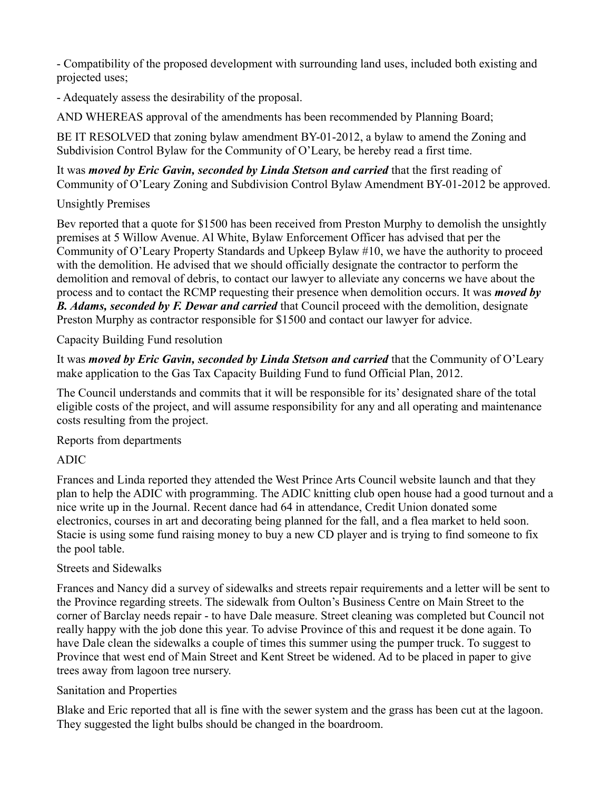- Compatibility of the proposed development with surrounding land uses, included both existing and projected uses;

- Adequately assess the desirability of the proposal.

AND WHEREAS approval of the amendments has been recommended by Planning Board;

BE IT RESOLVED that zoning bylaw amendment BY-01-2012, a bylaw to amend the Zoning and Subdivision Control Bylaw for the Community of O'Leary, be hereby read a first time.

It was *moved by Eric Gavin, seconded by Linda Stetson and carried* that the first reading of Community of O'Leary Zoning and Subdivision Control Bylaw Amendment BY-01-2012 be approved.

## Unsightly Premises

Bev reported that a quote for \$1500 has been received from Preston Murphy to demolish the unsightly premises at 5 Willow Avenue. Al White, Bylaw Enforcement Officer has advised that per the Community of O'Leary Property Standards and Upkeep Bylaw #10, we have the authority to proceed with the demolition. He advised that we should officially designate the contractor to perform the demolition and removal of debris, to contact our lawyer to alleviate any concerns we have about the process and to contact the RCMP requesting their presence when demolition occurs. It was *moved by B. Adams, seconded by F. Dewar and carried* that Council proceed with the demolition, designate Preston Murphy as contractor responsible for \$1500 and contact our lawyer for advice.

Capacity Building Fund resolution

It was *moved by Eric Gavin, seconded by Linda Stetson and carried* that the Community of O'Leary make application to the Gas Tax Capacity Building Fund to fund Official Plan, 2012.

The Council understands and commits that it will be responsible for its' designated share of the total eligible costs of the project, and will assume responsibility for any and all operating and maintenance costs resulting from the project.

Reports from departments

# ADIC

Frances and Linda reported they attended the West Prince Arts Council website launch and that they plan to help the ADIC with programming. The ADIC knitting club open house had a good turnout and a nice write up in the Journal. Recent dance had 64 in attendance, Credit Union donated some electronics, courses in art and decorating being planned for the fall, and a flea market to held soon. Stacie is using some fund raising money to buy a new CD player and is trying to find someone to fix the pool table.

# Streets and Sidewalks

Frances and Nancy did a survey of sidewalks and streets repair requirements and a letter will be sent to the Province regarding streets. The sidewalk from Oulton's Business Centre on Main Street to the corner of Barclay needs repair - to have Dale measure. Street cleaning was completed but Council not really happy with the job done this year. To advise Province of this and request it be done again. To have Dale clean the sidewalks a couple of times this summer using the pumper truck. To suggest to Province that west end of Main Street and Kent Street be widened. Ad to be placed in paper to give trees away from lagoon tree nursery.

# Sanitation and Properties

Blake and Eric reported that all is fine with the sewer system and the grass has been cut at the lagoon. They suggested the light bulbs should be changed in the boardroom.